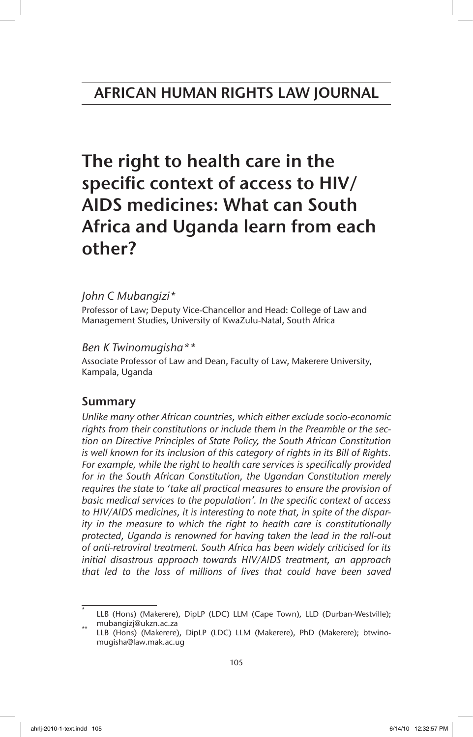The right to health care in the specific context of access to HIV/ AIDS medicines: What can South Africa and Uganda learn from each other?

# *John C Mubangizi\**

Professor of Law; Deputy Vice-Chancellor and Head: College of Law and Management Studies, University of KwaZulu-Natal, South Africa

# *Ben K Twinomugisha\*\**

Associate Professor of Law and Dean, Faculty of Law, Makerere University, Kampala, Uganda

# Summary

*Unlike many other African countries, which either exclude socio-economic rights from their constitutions or include them in the Preamble or the section on Directive Principles of State Policy, the South African Constitution is well known for its inclusion of this category of rights in its Bill of Rights. For example, while the right to health care services is specifically provided for in the South African Constitution, the Ugandan Constitution merely requires the state to 'take all practical measures to ensure the provision of basic medical services to the population'. In the specific context of access to HIV/AIDS medicines, it is interesting to note that, in spite of the disparity in the measure to which the right to health care is constitutionally protected, Uganda is renowned for having taken the lead in the roll-out of anti-retroviral treatment. South Africa has been widely criticised for its initial disastrous approach towards HIV/AIDS treatment, an approach that led to the loss of millions of lives that could have been saved*

LLB (Hons) (Makerere), DipLP (LDC) LLM (Cape Town), LLD (Durban-Westville);

mubangizj@ukzn.ac.za<br>LLB (Hons) (Makerere), DipLP (LDC) LLM (Makerere), PhD (Makerere); btwinomugisha@law.mak.ac.ug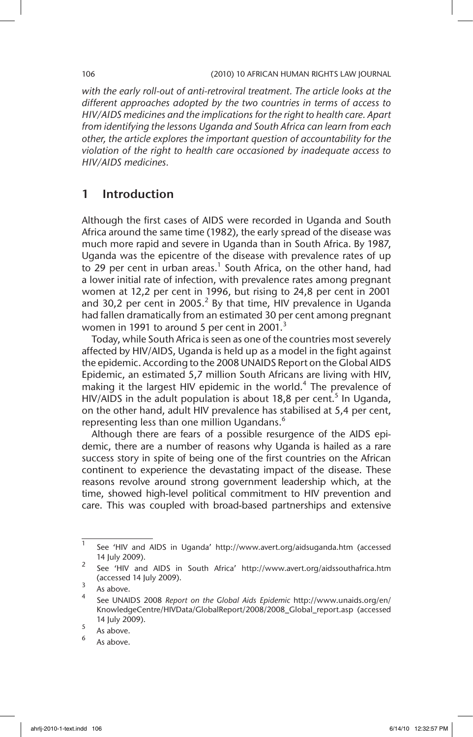*with the early roll-out of anti-retroviral treatment. The article looks at the different approaches adopted by the two countries in terms of access to HIV/AIDS medicines and the implications for the right to health care. Apart from identifying the lessons Uganda and South Africa can learn from each other, the article explores the important question of accountability for the violation of the right to health care occasioned by inadequate access to HIV/AIDS medicines.*

# 1 Introduction

Although the first cases of AIDS were recorded in Uganda and South Africa around the same time (1982), the early spread of the disease was much more rapid and severe in Uganda than in South Africa. By 1987, Uganda was the epicentre of the disease with prevalence rates of up to 29 per cent in urban areas.<sup>1</sup> South Africa, on the other hand, had a lower initial rate of infection, with prevalence rates among pregnant women at 12,2 per cent in 1996, but rising to 24,8 per cent in 2001 and 30,2 per cent in 2005.<sup>2</sup> By that time, HIV prevalence in Uganda had fallen dramatically from an estimated 30 per cent among pregnant women in 1991 to around 5 per cent in 2001.<sup>3</sup>

Today, while South Africa is seen as one of the countries most severely affected by HIV/AIDS, Uganda is held up as a model in the fight against the epidemic. According to the 2008 UNAIDS Report on the Global AIDS Epidemic, an estimated 5,7 million South Africans are living with HIV, making it the largest HIV epidemic in the world.<sup>4</sup> The prevalence of HIV/AIDS in the adult population is about 18,8 per cent.<sup>5</sup> In Uganda, on the other hand, adult HIV prevalence has stabilised at 5,4 per cent, representing less than one million Ugandans.<sup>6</sup>

Although there are fears of a possible resurgence of the AIDS epidemic, there are a number of reasons why Uganda is hailed as a rare success story in spite of being one of the first countries on the African continent to experience the devastating impact of the disease. These reasons revolve around strong government leadership which, at the time, showed high-level political commitment to HIV prevention and care. This was coupled with broad-based partnerships and extensive

 $1$  See 'HIV and AIDS in Uganda' http://www.avert.org/aidsuganda.htm (accessed 14 July 2009).

<sup>&</sup>lt;sup>2</sup> See 'HIV and AIDS in South Africa' http://www.avert.org/aidssouthafrica.htm (accessed 14 July 2009).

 $\frac{3}{4}$  As above.

<sup>4</sup> See UNAIDS 2008 *Report on the Global Aids Epidemic* http://www.unaids.org/en/ KnowledgeCentre/HIVData/GlobalReport/2008/2008\_Global\_report.asp (accessed 14 July 2009).

 $\frac{5}{6}$  As above.

As above.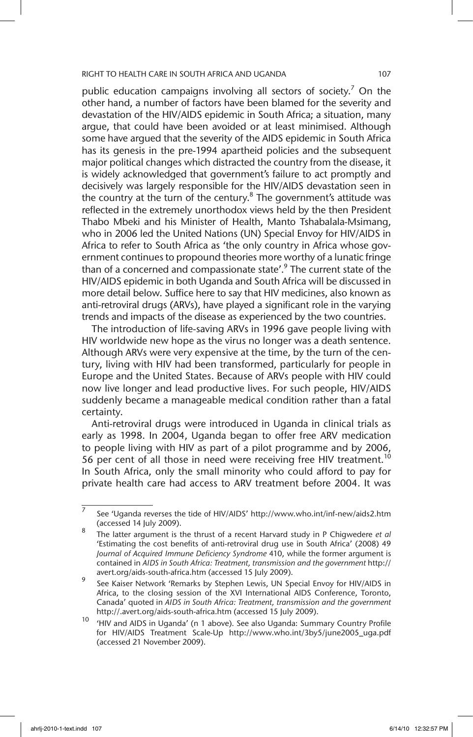public education campaigns involving all sectors of society.<sup>7</sup> On the other hand, a number of factors have been blamed for the severity and devastation of the HIV/AIDS epidemic in South Africa; a situation, many argue, that could have been avoided or at least minimised. Although some have argued that the severity of the AIDS epidemic in South Africa has its genesis in the pre-1994 apartheid policies and the subsequent major political changes which distracted the country from the disease, it is widely acknowledged that government's failure to act promptly and decisively was largely responsible for the HIV/AIDS devastation seen in the country at the turn of the century. $8$  The government's attitude was reflected in the extremely unorthodox views held by the then President Thabo Mbeki and his Minister of Health, Manto Tshabalala-Msimang, who in 2006 led the United Nations (UN) Special Envoy for HIV/AIDS in Africa to refer to South Africa as 'the only country in Africa whose government continues to propound theories more worthy of a lunatic fringe than of a concerned and compassionate state'.<sup>9</sup> The current state of the HIV/AIDS epidemic in both Uganda and South Africa will be discussed in more detail below. Suffice here to say that HIV medicines, also known as anti-retroviral drugs (ARVs), have played a significant role in the varying trends and impacts of the disease as experienced by the two countries.

The introduction of life-saving ARVs in 1996 gave people living with HIV worldwide new hope as the virus no longer was a death sentence. Although ARVs were very expensive at the time, by the turn of the century, living with HIV had been transformed, particularly for people in Europe and the United States. Because of ARVs people with HIV could now live longer and lead productive lives. For such people, HIV/AIDS suddenly became a manageable medical condition rather than a fatal certainty.

Anti-retroviral drugs were introduced in Uganda in clinical trials as early as 1998. In 2004, Uganda began to offer free ARV medication to people living with HIV as part of a pilot programme and by 2006, 56 per cent of all those in need were receiving free HIV treatment.<sup>10</sup> In South Africa, only the small minority who could afford to pay for private health care had access to ARV treatment before 2004. It was

 $\overline{7}$  See 'Uganda reverses the tide of HIV/AIDS' http://www.who.int/inf-new/aids2.htm (accessed 14 July 2009).

<sup>8</sup> The latter argument is the thrust of a recent Harvard study in P Chigwedere *et al* 'Estimating the cost benefits of anti-retroviral drug use in South Africa' (2008) 49 *Journal of Acquired Immune Deficiency Syndrome* 410, while the former argument is contained in *AIDS in South Africa: Treatment, transmission and the government* http:// avert.org/aids-south-africa.htm (accessed 15 July 2009).

See Kaiser Network 'Remarks by Stephen Lewis, UN Special Envoy for HIV/AIDS in Africa, to the closing session of the XVI International AIDS Conference, Toronto, Canada' quoted in *AIDS in South Africa: Treatment, transmission and the government* http://.avert.org/aids-south-africa.htm (accessed 15 July 2009).

<sup>&#</sup>x27;HIV and AIDS in Uganda' (n 1 above). See also Uganda: Summary Country Profile for HIV/AIDS Treatment Scale-Up http://www.who.int/3by5/june2005\_uga.pdf (accessed 21 November 2009).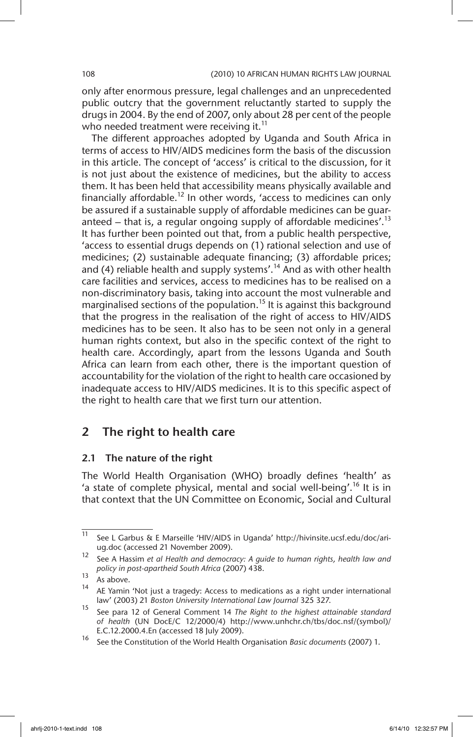only after enormous pressure, legal challenges and an unprecedented public outcry that the government reluctantly started to supply the drugs in 2004. By the end of 2007, only about 28 per cent of the people who needed treatment were receiving it.<sup>11</sup>

The different approaches adopted by Uganda and South Africa in terms of access to HIV/AIDS medicines form the basis of the discussion in this article. The concept of 'access' is critical to the discussion, for it is not just about the existence of medicines, but the ability to access them. It has been held that accessibility means physically available and financially affordable.<sup>12</sup> In other words, 'access to medicines can only be assured if a sustainable supply of affordable medicines can be guaranteed – that is, a regular ongoing supply of affordable medicines'.<sup>13</sup> It has further been pointed out that, from a public health perspective, 'access to essential drugs depends on (1) rational selection and use of medicines; (2) sustainable adequate financing; (3) affordable prices; and (4) reliable health and supply systems'.<sup>14</sup> And as with other health care facilities and services, access to medicines has to be realised on a non-discriminatory basis, taking into account the most vulnerable and marginalised sections of the population.<sup>15</sup> It is against this background that the progress in the realisation of the right of access to HIV/AIDS medicines has to be seen. It also has to be seen not only in a general human rights context, but also in the specific context of the right to health care. Accordingly, apart from the lessons Uganda and South Africa can learn from each other, there is the important question of accountability for the violation of the right to health care occasioned by inadequate access to HIV/AIDS medicines. It is to this specific aspect of the right to health care that we first turn our attention.

# 2 The right to health care

## 2.1 The nature of the right

The World Health Organisation (WHO) broadly defines 'health' as 'a state of complete physical, mental and social well-being'.<sup>16</sup> It is in that context that the UN Committee on Economic, Social and Cultural

 $\overline{11}$  See L Garbus & E Marseille 'HIV/AIDS in Uganda' http://hivinsite.ucsf.edu/doc/ariug.doc (accessed 21 November 2009).

<sup>12</sup> See A Hassim *et al Health and democracy: A guide to human rights, health law and policy in post-apartheid South Africa* (2007) 438.

 $\frac{13}{14}$  As above.

AE Yamin 'Not just a tragedy: Access to medications as a right under international law' (2003) 21 *Boston University International Law Journal* 325 327.

<sup>15</sup> See para 12 of General Comment 14 *The Right to the highest attainable standard of health* (UN DocE/C 12/2000/4) http://www.unhchr.ch/tbs/doc.nsf/(symbol)/ E.C.12.2000.4.En (accessed 18 July 2009).

<sup>16</sup> See the Constitution of the World Health Organisation *Basic documents* (2007) 1.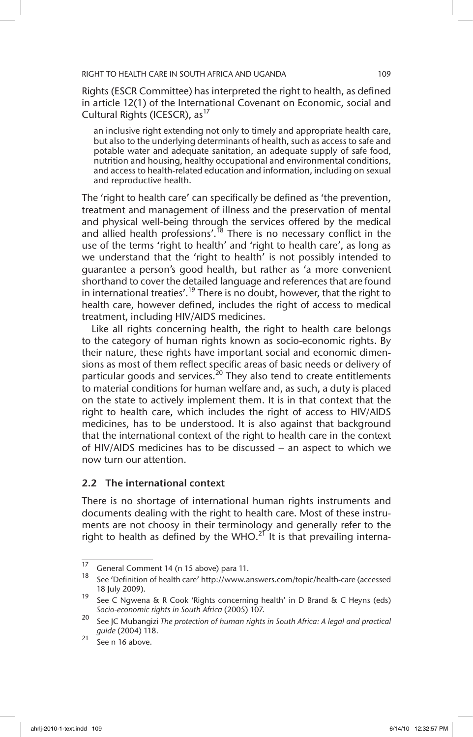Rights (ESCR Committee) has interpreted the right to health, as defined in article 12(1) of the International Covenant on Economic, social and Cultural Rights (ICESCR), as<sup>17</sup>

an inclusive right extending not only to timely and appropriate health care, but also to the underlying determinants of health, such as access to safe and potable water and adequate sanitation, an adequate supply of safe food, nutrition and housing, healthy occupational and environmental conditions, and access to health-related education and information, including on sexual and reproductive health.

The 'right to health care' can specifically be defined as 'the prevention, treatment and management of illness and the preservation of mental and physical well-being through the services offered by the medical and allied health professions'.<sup>18</sup> There is no necessary conflict in the use of the terms 'right to health' and 'right to health care', as long as we understand that the 'right to health' is not possibly intended to guarantee a person's good health, but rather as 'a more convenient shorthand to cover the detailed language and references that are found in international treaties'.<sup>19</sup> There is no doubt, however, that the right to health care, however defined, includes the right of access to medical treatment, including HIV/AIDS medicines.

Like all rights concerning health, the right to health care belongs to the category of human rights known as socio-economic rights. By their nature, these rights have important social and economic dimensions as most of them reflect specific areas of basic needs or delivery of particular goods and services.<sup>20</sup> They also tend to create entitlements to material conditions for human welfare and, as such, a duty is placed on the state to actively implement them. It is in that context that the right to health care, which includes the right of access to HIV/AIDS medicines, has to be understood. It is also against that background that the international context of the right to health care in the context of HIV/AIDS medicines has to be discussed – an aspect to which we now turn our attention.

## 2.2 The international context

There is no shortage of international human rights instruments and documents dealing with the right to health care. Most of these instruments are not choosy in their terminology and generally refer to the right to health as defined by the WHO.<sup>21</sup> It is that prevailing interna-

 $\frac{17}{17}$  General Comment 14 (n 15 above) para 11.

<sup>18</sup> See 'Definition of health care' http://www.answers.com/topic/health-care (accessed 18 July 2009).

<sup>19</sup> See C Ngwena & R Cook 'Rights concerning health' in D Brand & C Heyns (eds) *Socio-economic rights in South Africa* (2005) 107.

<sup>20</sup> See JC Mubangizi *The protection of human rights in South Africa: A legal and practical guide* (2004) 118.

 $21 \overline{}$  See n 16 above.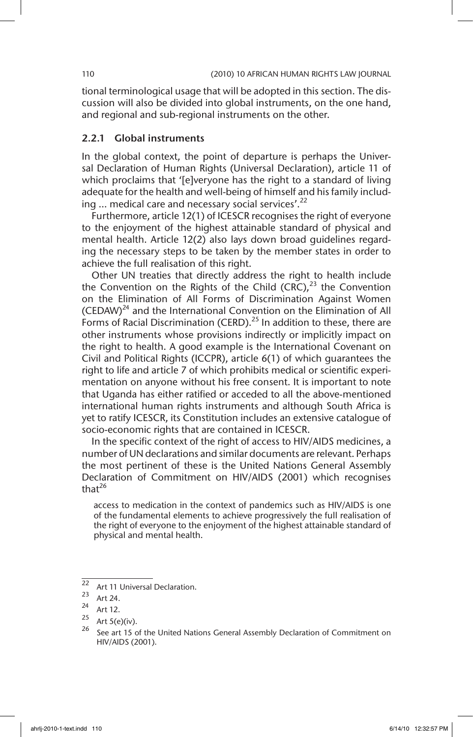tional terminological usage that will be adopted in this section. The discussion will also be divided into global instruments, on the one hand, and regional and sub-regional instruments on the other.

## 2.2.1 Global instruments

In the global context, the point of departure is perhaps the Universal Declaration of Human Rights (Universal Declaration), article 11 of which proclaims that '[e]veryone has the right to a standard of living adequate for the health and well-being of himself and his family including ... medical care and necessary social services'.<sup>22</sup>

Furthermore, article 12(1) of ICESCR recognises the right of everyone to the enjoyment of the highest attainable standard of physical and mental health. Article 12(2) also lays down broad guidelines regarding the necessary steps to be taken by the member states in order to achieve the full realisation of this right.

Other UN treaties that directly address the right to health include the Convention on the Rights of the Child  $(CRC)$ ,<sup>23</sup> the Convention on the Elimination of All Forms of Discrimination Against Women (CEDAW) $^{24}$  and the International Convention on the Elimination of All Forms of Racial Discrimination (CERD).<sup>25</sup> In addition to these, there are other instruments whose provisions indirectly or implicitly impact on the right to health. A good example is the International Covenant on Civil and Political Rights (ICCPR), article 6(1) of which guarantees the right to life and article 7 of which prohibits medical or scientific experimentation on anyone without his free consent. It is important to note that Uganda has either ratified or acceded to all the above-mentioned international human rights instruments and although South Africa is yet to ratify ICESCR, its Constitution includes an extensive catalogue of socio-economic rights that are contained in ICESCR.

In the specific context of the right of access to HIV/AIDS medicines, a number of UN declarations and similar documents are relevant. Perhaps the most pertinent of these is the United Nations General Assembly Declaration of Commitment on HIV/AIDS (2001) which recognises that $^{26}$ 

access to medication in the context of pandemics such as HIV/AIDS is one of the fundamental elements to achieve progressively the full realisation of the right of everyone to the enjoyment of the highest attainable standard of physical and mental health.

<sup>&</sup>lt;sup>22</sup> Art 11 Universal Declaration.

 $\frac{23}{24}$  Art 24.

 $\frac{24}{25}$  Art 12.

Art  $5(e)(iv)$ .

See art 15 of the United Nations General Assembly Declaration of Commitment on HIV/AIDS (2001).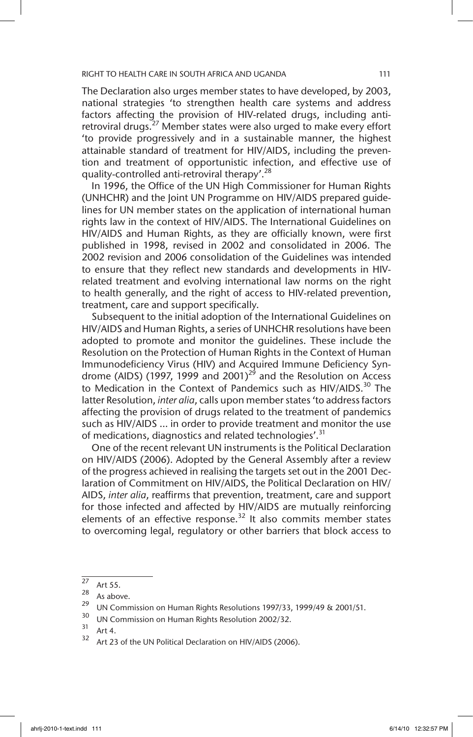The Declaration also urges member states to have developed, by 2003, national strategies 'to strengthen health care systems and address factors affecting the provision of HIV-related drugs, including antiretroviral drugs.<sup>27</sup> Member states were also urged to make every effort 'to provide progressively and in a sustainable manner, the highest attainable standard of treatment for HIV/AIDS, including the prevention and treatment of opportunistic infection, and effective use of quality-controlled anti-retroviral therapy'.<sup>28</sup>

In 1996, the Office of the UN High Commissioner for Human Rights (UNHCHR) and the Joint UN Programme on HIV/AIDS prepared guidelines for UN member states on the application of international human rights law in the context of HIV/AIDS. The International Guidelines on HIV/AIDS and Human Rights, as they are officially known, were first published in 1998, revised in 2002 and consolidated in 2006. The 2002 revision and 2006 consolidation of the Guidelines was intended to ensure that they reflect new standards and developments in HIVrelated treatment and evolving international law norms on the right to health generally, and the right of access to HIV-related prevention, treatment, care and support specifically.

Subsequent to the initial adoption of the International Guidelines on HIV/AIDS and Human Rights, a series of UNHCHR resolutions have been adopted to promote and monitor the guidelines. These include the Resolution on the Protection of Human Rights in the Context of Human Immunodeficiency Virus (HIV) and Acquired Immune Deficiency Syndrome (AIDS) (1997, 1999 and 2001)<sup>29</sup> and the Resolution on Access to Medication in the Context of Pandemics such as HIV/AIDS.<sup>30</sup> The latter Resolution, *inter alia*, calls upon member states 'to address factors affecting the provision of drugs related to the treatment of pandemics such as HIV/AIDS … in order to provide treatment and monitor the use of medications, diagnostics and related technologies'.<sup>31</sup>

One of the recent relevant UN instruments is the Political Declaration on HIV/AIDS (2006). Adopted by the General Assembly after a review of the progress achieved in realising the targets set out in the 2001 Declaration of Commitment on HIV/AIDS, the Political Declaration on HIV/ AIDS, *inter alia*, reaffirms that prevention, treatment, care and support for those infected and affected by HIV/AIDS are mutually reinforcing elements of an effective response.<sup>32</sup> It also commits member states to overcoming legal, regulatory or other barriers that block access to

 $\frac{27}{28}$  Art 55.

 $\frac{28}{29}$  As above.

<sup>&</sup>lt;sup>29</sup> UN Commission on Human Rights Resolutions 1997/33, 1999/49 & 2001/51.

<sup>&</sup>lt;sup>30</sup> UN Commission on Human Rights Resolution 2002/32.

 $32$  Art 4.

Art 23 of the UN Political Declaration on HIV/AIDS (2006).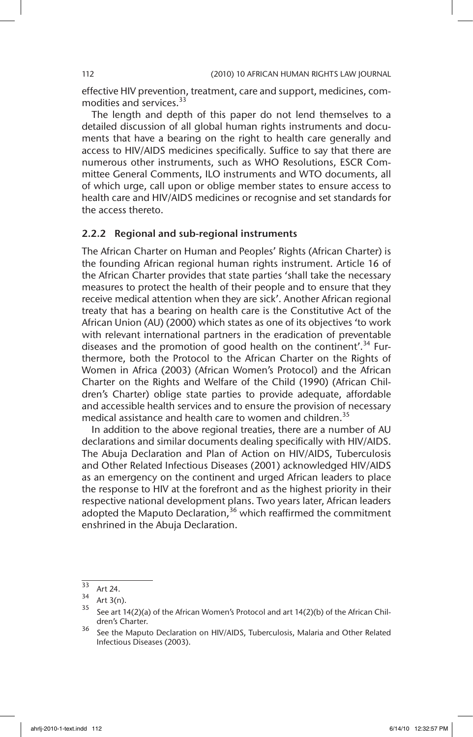effective HIV prevention, treatment, care and support, medicines, commodities and services.<sup>33</sup>

The length and depth of this paper do not lend themselves to a detailed discussion of all global human rights instruments and documents that have a bearing on the right to health care generally and access to HIV/AIDS medicines specifically. Suffice to say that there are numerous other instruments, such as WHO Resolutions, ESCR Committee General Comments, ILO instruments and WTO documents, all of which urge, call upon or oblige member states to ensure access to health care and HIV/AIDS medicines or recognise and set standards for the access thereto.

## 2.2.2 Regional and sub-regional instruments

The African Charter on Human and Peoples' Rights (African Charter) is the founding African regional human rights instrument. Article 16 of the African Charter provides that state parties 'shall take the necessary measures to protect the health of their people and to ensure that they receive medical attention when they are sick'. Another African regional treaty that has a bearing on health care is the Constitutive Act of the African Union (AU) (2000) which states as one of its objectives 'to work with relevant international partners in the eradication of preventable diseases and the promotion of good health on the continent'.<sup>34</sup> Furthermore, both the Protocol to the African Charter on the Rights of Women in Africa (2003) (African Women's Protocol) and the African Charter on the Rights and Welfare of the Child (1990) (African Children's Charter) oblige state parties to provide adequate, affordable and accessible health services and to ensure the provision of necessary medical assistance and health care to women and children.<sup>35</sup>

In addition to the above regional treaties, there are a number of AU declarations and similar documents dealing specifically with HIV/AIDS. The Abuja Declaration and Plan of Action on HIV/AIDS, Tuberculosis and Other Related Infectious Diseases (2001) acknowledged HIV/AIDS as an emergency on the continent and urged African leaders to place the response to HIV at the forefront and as the highest priority in their respective national development plans. Two years later, African leaders adopted the Maputo Declaration,<sup>36</sup> which reaffirmed the commitment enshrined in the Abuja Declaration.

 $\frac{33}{34}$  Art 24.

 $35$  Art 3(n).<br> $35$  See art 1.

See art 14(2)(a) of the African Women's Protocol and art 14(2)(b) of the African Children's Charter.

<sup>&</sup>lt;sup>36</sup> See the Maputo Declaration on HIV/AIDS, Tuberculosis, Malaria and Other Related Infectious Diseases (2003).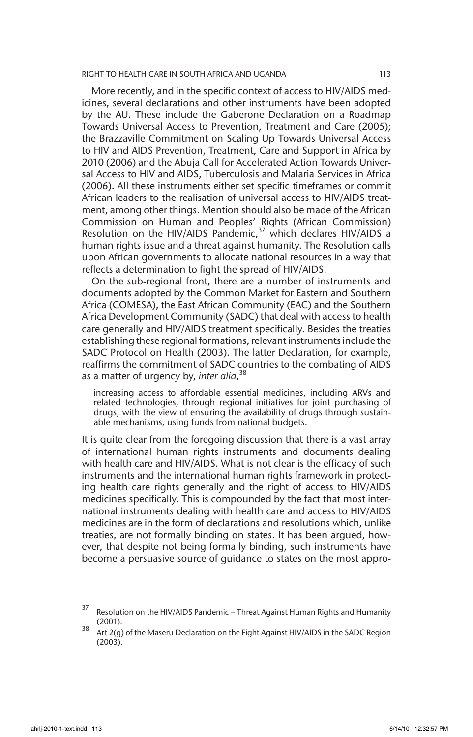More recently, and in the specific context of access to HIV/AIDS medicines, several declarations and other instruments have been adopted by the AU. These include the Gaberone Declaration on a Roadmap Towards Universal Access to Prevention, Treatment and Care (2005); the Brazzaville Commitment on Scaling Up Towards Universal Access to HIV and AIDS Prevention, Treatment, Care and Support in Africa by 2010 (2006) and the Abuja Call for Accelerated Action Towards Universal Access to HIV and AIDS, Tuberculosis and Malaria Services in Africa (2006). All these instruments either set specific timeframes or commit African leaders to the realisation of universal access to HIV/AIDS treatment, among other things. Mention should also be made of the African Commission on Human and Peoples' Rights (African Commission) Resolution on the HIV/AIDS Pandemic, $37$  which declares HIV/AIDS a human rights issue and a threat against humanity. The Resolution calls upon African governments to allocate national resources in a way that reflects a determination to fight the spread of HIV/AIDS.

On the sub-regional front, there are a number of instruments and documents adopted by the Common Market for Eastern and Southern Africa (COMESA), the East African Community (EAC) and the Southern Africa Development Community (SADC) that deal with access to health care generally and HIV/AIDS treatment specifically. Besides the treaties establishing these regional formations, relevant instruments include the SADC Protocol on Health (2003). The latter Declaration, for example, reaffirms the commitment of SADC countries to the combating of AIDS as a matter of urgency by, *inter alia*, 38

increasing access to affordable essential medicines, including ARVs and related technologies, through regional initiatives for joint purchasing of drugs, with the view of ensuring the availability of drugs through sustainable mechanisms, using funds from national budgets.

It is quite clear from the foregoing discussion that there is a vast array of international human rights instruments and documents dealing with health care and HIV/AIDS. What is not clear is the efficacy of such instruments and the international human rights framework in protecting health care rights generally and the right of access to HIV/AIDS medicines specifically. This is compounded by the fact that most international instruments dealing with health care and access to HIV/AIDS medicines are in the form of declarations and resolutions which, unlike treaties, are not formally binding on states. It has been argued, however, that despite not being formally binding, such instruments have become a persuasive source of guidance to states on the most appro-

 $\frac{37}{37}$  Resolution on the HIV/AIDS Pandemic – Threat Against Human Rights and Humanity (2001).

 $38$  Art 2(g) of the Maseru Declaration on the Fight Against HIV/AIDS in the SADC Region (2003).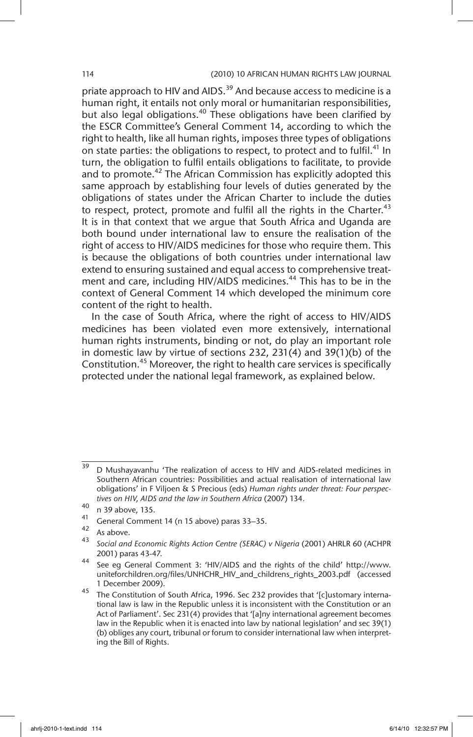priate approach to HIV and AIDS.<sup>39</sup> And because access to medicine is a human right, it entails not only moral or humanitarian responsibilities, but also legal obligations.<sup>40</sup> These obligations have been clarified by the ESCR Committee's General Comment 14, according to which the right to health, like all human rights, imposes three types of obligations on state parties: the obligations to respect, to protect and to fulfil.<sup>41</sup> In turn, the obligation to fulfil entails obligations to facilitate, to provide and to promote.<sup>42</sup> The African Commission has explicitly adopted this same approach by establishing four levels of duties generated by the obligations of states under the African Charter to include the duties to respect, protect, promote and fulfil all the rights in the Charter.<sup>43</sup> It is in that context that we argue that South Africa and Uganda are both bound under international law to ensure the realisation of the right of access to HIV/AIDS medicines for those who require them. This is because the obligations of both countries under international law extend to ensuring sustained and equal access to comprehensive treatment and care, including HIV/AIDS medicines.<sup>44</sup> This has to be in the context of General Comment 14 which developed the minimum core content of the right to health.

In the case of South Africa, where the right of access to HIV/AIDS medicines has been violated even more extensively, international human rights instruments, binding or not, do play an important role in domestic law by virtue of sections 232, 231(4) and 39(1)(b) of the Constitution.<sup>45</sup> Moreover, the right to health care services is specifically protected under the national legal framework, as explained below.

<sup>&</sup>lt;sup>39</sup> D Mushayavanhu 'The realization of access to HIV and AIDS-related medicines in Southern African countries: Possibilities and actual realisation of international law obligations' in F Viljoen & S Precious (eds) *Human rights under threat: Four perspectives on HIV, AIDS and the law in Southern Africa* (2007) 134.

 $^{40}$  n 39 above, 135.

<sup>&</sup>lt;sup>41</sup> General Comment 14 (n 15 above) paras 33–35.

 $43$  As above.

<sup>43</sup> *Social and Economic Rights Action Centre (SERAC) v Nigeria* (2001) AHRLR 60 (ACHPR 2001) paras 43-47.

<sup>44</sup> See eg General Comment 3: 'HIV/AIDS and the rights of the child' http://www. uniteforchildren.org/files/UNHCHR\_HIV\_and\_childrens\_rights\_2003.pdf (accessed 1 December 2009).

<sup>45</sup> The Constitution of South Africa, 1996. Sec 232 provides that '[c]ustomary international law is law in the Republic unless it is inconsistent with the Constitution or an Act of Parliament'. Sec 231(4) provides that '[a]ny international agreement becomes law in the Republic when it is enacted into law by national legislation' and sec 39(1) (b) obliges any court, tribunal or forum to consider international law when interpreting the Bill of Rights.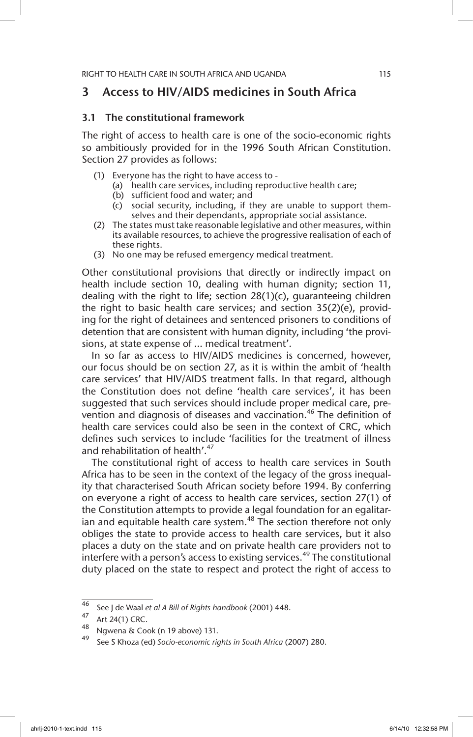# 3 Access to HIV/AIDS medicines in South Africa

## 3.1 The constitutional framework

The right of access to health care is one of the socio-economic rights so ambitiously provided for in the 1996 South African Constitution. Section 27 provides as follows:

- (1) Everyone has the right to have access to
	- (a) health care services, including reproductive health care;
	- (b) sufficient food and water; and
	- (c) social security, including, if they are unable to support themselves and their dependants, appropriate social assistance.
- (2) The states must take reasonable legislative and other measures, within its available resources, to achieve the progressive realisation of each of these rights.
- (3) No one may be refused emergency medical treatment.

Other constitutional provisions that directly or indirectly impact on health include section 10, dealing with human dignity; section 11, dealing with the right to life; section 28(1)(c), guaranteeing children the right to basic health care services; and section 35(2)(e), providing for the right of detainees and sentenced prisoners to conditions of detention that are consistent with human dignity, including 'the provisions, at state expense of … medical treatment'.

In so far as access to HIV/AIDS medicines is concerned, however, our focus should be on section 27, as it is within the ambit of 'health care services' that HIV/AIDS treatment falls. In that regard, although the Constitution does not define 'health care services', it has been suggested that such services should include proper medical care, prevention and diagnosis of diseases and vaccination.<sup>46</sup> The definition of health care services could also be seen in the context of CRC, which defines such services to include 'facilities for the treatment of illness and rehabilitation of health'.<sup>47</sup>

The constitutional right of access to health care services in South Africa has to be seen in the context of the legacy of the gross inequality that characterised South African society before 1994. By conferring on everyone a right of access to health care services, section 27(1) of the Constitution attempts to provide a legal foundation for an egalitarian and equitable health care system.<sup>48</sup> The section therefore not only obliges the state to provide access to health care services, but it also places a duty on the state and on private health care providers not to interfere with a person's access to existing services.<sup>49</sup> The constitutional duty placed on the state to respect and protect the right of access to

<sup>46</sup> See J de Waal *et al A Bill of Rights handbook* (2001) 448.

 $^{47}$  Art 24(1) CRC.<br><sup>48</sup> Nawana & Co

Ngwena & Cook (n 19 above) 131.

<sup>49</sup> See S Khoza (ed) *Socio-economic rights in South Africa* (2007) 280.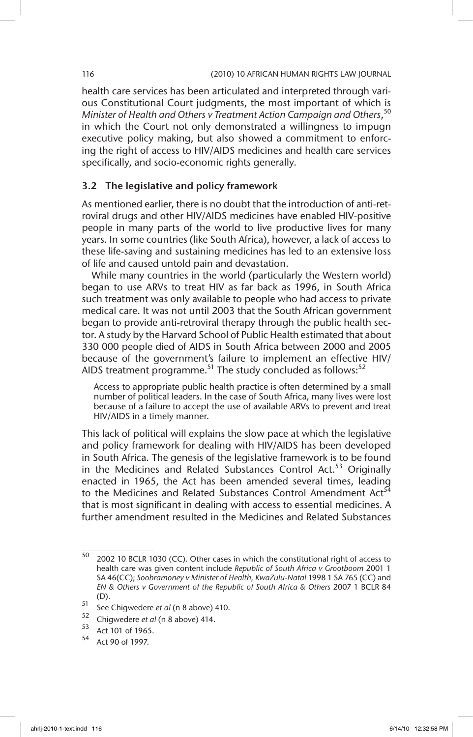health care services has been articulated and interpreted through various Constitutional Court judgments, the most important of which is *Minister of Health and Others v Treatment Action Campaign and Others*, 50 in which the Court not only demonstrated a willingness to impugn executive policy making, but also showed a commitment to enforcing the right of access to HIV/AIDS medicines and health care services specifically, and socio-economic rights generally.

# 3.2 The legislative and policy framework

As mentioned earlier, there is no doubt that the introduction of anti-retroviral drugs and other HIV/AIDS medicines have enabled HIV-positive people in many parts of the world to live productive lives for many years. In some countries (like South Africa), however, a lack of access to these life-saving and sustaining medicines has led to an extensive loss of life and caused untold pain and devastation.

While many countries in the world (particularly the Western world) began to use ARVs to treat HIV as far back as 1996, in South Africa such treatment was only available to people who had access to private medical care. It was not until 2003 that the South African government began to provide anti-retroviral therapy through the public health sector. A study by the Harvard School of Public Health estimated that about 330 000 people died of AIDS in South Africa between 2000 and 2005 because of the government's failure to implement an effective HIV/ AIDS treatment programme.<sup>51</sup> The study concluded as follows:<sup>52</sup>

Access to appropriate public health practice is often determined by a small number of political leaders. In the case of South Africa, many lives were lost because of a failure to accept the use of available ARVs to prevent and treat HIV/AIDS in a timely manner.

This lack of political will explains the slow pace at which the legislative and policy framework for dealing with HIV/AIDS has been developed in South Africa. The genesis of the legislative framework is to be found in the Medicines and Related Substances Control Act.<sup>53</sup> Originally enacted in 1965, the Act has been amended several times, leading to the Medicines and Related Substances Control Amendment Act<sup>54</sup> that is most significant in dealing with access to essential medicines. A further amendment resulted in the Medicines and Related Substances

<sup>50</sup> 2002 10 BCLR 1030 (CC). Other cases in which the constitutional right of access to health care was given content include *Republic of South Africa v Grootboom* 2001 1 SA 46(CC); *Soobramoney v Minister of Health, KwaZulu-Natal* 1998 1 SA 765 (CC) and *EN & Others v Government of the Republic of South Africa & Others* 2007 1 BCLR 84 (D).

<sup>51</sup> See Chigwedere *et al* (n 8 above) 410.

 $^{52}$  Chigwedere *et al* (n 8 above) 414.<br> $^{53}$  Act 101 of 1965.

 $54$  Act 101 of 1965.

Act 90 of 1997.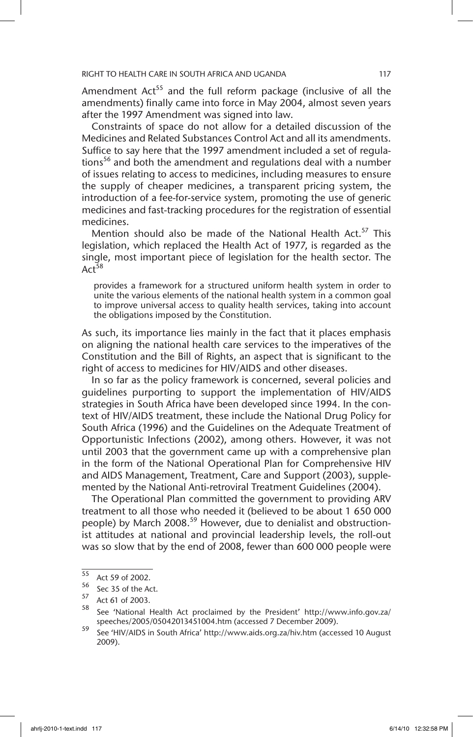Amendment Act<sup>55</sup> and the full reform package (inclusive of all the amendments) finally came into force in May 2004, almost seven years after the 1997 Amendment was signed into law.

Constraints of space do not allow for a detailed discussion of the Medicines and Related Substances Control Act and all its amendments. Suffice to say here that the 1997 amendment included a set of regulations<sup>56</sup> and both the amendment and regulations deal with a number of issues relating to access to medicines, including measures to ensure the supply of cheaper medicines, a transparent pricing system, the introduction of a fee-for-service system, promoting the use of generic medicines and fast-tracking procedures for the registration of essential medicines.

Mention should also be made of the National Health Act.<sup>57</sup> This legislation, which replaced the Health Act of 1977, is regarded as the single, most important piece of legislation for the health sector. The  $Act^{58}$ 

provides a framework for a structured uniform health system in order to unite the various elements of the national health system in a common goal to improve universal access to quality health services, taking into account the obligations imposed by the Constitution.

As such, its importance lies mainly in the fact that it places emphasis on aligning the national health care services to the imperatives of the Constitution and the Bill of Rights, an aspect that is significant to the right of access to medicines for HIV/AIDS and other diseases.

In so far as the policy framework is concerned, several policies and guidelines purporting to support the implementation of HIV/AIDS strategies in South Africa have been developed since 1994. In the context of HIV/AIDS treatment, these include the National Drug Policy for South Africa (1996) and the Guidelines on the Adequate Treatment of Opportunistic Infections (2002), among others. However, it was not until 2003 that the government came up with a comprehensive plan in the form of the National Operational Plan for Comprehensive HIV and AIDS Management, Treatment, Care and Support (2003), supplemented by the National Anti-retroviral Treatment Guidelines (2004).

The Operational Plan committed the government to providing ARV treatment to all those who needed it (believed to be about 1 650 000 people) by March 2008.<sup>59</sup> However, due to denialist and obstructionist attitudes at national and provincial leadership levels, the roll-out was so slow that by the end of 2008, fewer than 600 000 people were

 $\frac{55}{56}$  Act 59 of 2002.

 $56$  Sec 35 of the Act.

 $58$  Act 61 of 2003.

<sup>58</sup> See 'National Health Act proclaimed by the President' http://www.info.gov.za/ speeches/2005/05042013451004.htm (accessed 7 December 2009).

<sup>59</sup> See 'HIV/AIDS in South Africa' http://www.aids.org.za/hiv.htm (accessed 10 August 2009).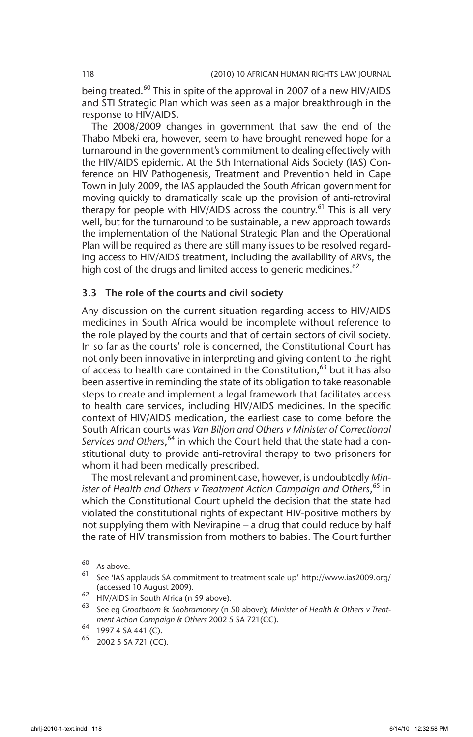being treated.<sup>60</sup> This in spite of the approval in 2007 of a new HIV/AIDS and STI Strategic Plan which was seen as a major breakthrough in the response to HIV/AIDS.

The 2008/2009 changes in government that saw the end of the Thabo Mbeki era, however, seem to have brought renewed hope for a turnaround in the government's commitment to dealing effectively with the HIV/AIDS epidemic. At the 5th International Aids Society (IAS) Conference on HIV Pathogenesis, Treatment and Prevention held in Cape Town in July 2009, the IAS applauded the South African government for moving quickly to dramatically scale up the provision of anti-retroviral therapy for people with HIV/AIDS across the country.<sup>61</sup> This is all very well, but for the turnaround to be sustainable, a new approach towards the implementation of the National Strategic Plan and the Operational Plan will be required as there are still many issues to be resolved regarding access to HIV/AIDS treatment, including the availability of ARVs, the high cost of the drugs and limited access to generic medicines.<sup>62</sup>

## 3.3 The role of the courts and civil society

Any discussion on the current situation regarding access to HIV/AIDS medicines in South Africa would be incomplete without reference to the role played by the courts and that of certain sectors of civil society. In so far as the courts' role is concerned, the Constitutional Court has not only been innovative in interpreting and giving content to the right of access to health care contained in the Constitution,<sup>63</sup> but it has also been assertive in reminding the state of its obligation to take reasonable steps to create and implement a legal framework that facilitates access to health care services, including HIV/AIDS medicines. In the specific context of HIV/AIDS medication, the earliest case to come before the South African courts was *Van Biljon and Others v Minister of Correctional Services and Others*, 64 in which the Court held that the state had a constitutional duty to provide anti-retroviral therapy to two prisoners for whom it had been medically prescribed.

The most relevant and prominent case, however, is undoubtedly *Minister of Health and Others v Treatment Action Campaign and Others*, 65 in which the Constitutional Court upheld the decision that the state had violated the constitutional rights of expectant HIV-positive mothers by not supplying them with Nevirapine – a drug that could reduce by half the rate of HIV transmission from mothers to babies. The Court further

 $60$  As above.

<sup>61</sup> See 'IAS applauds SA commitment to treatment scale up' http://www.ias2009.org/ (accessed 10 August 2009).

 $^{62}$  HIV/AIDS in South Africa (n 59 above).

<sup>63</sup> See eg *Grootboom* & *Soobramoney* (n 50 above); *Minister of Health & Others v Treatment Action Campaign & Others* 2002 5 SA 721(CC).

 $^{64}$  1997 4 SA 441 (C).

<sup>2002 5</sup> SA 721 (CC).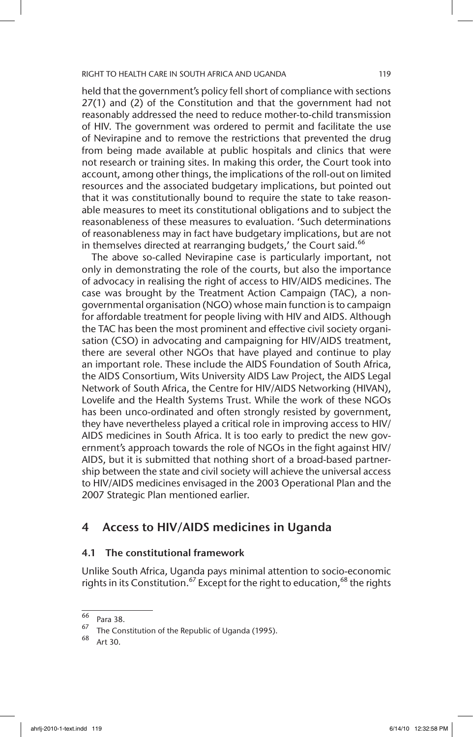held that the government's policy fell short of compliance with sections 27(1) and (2) of the Constitution and that the government had not reasonably addressed the need to reduce mother-to-child transmission of HIV. The government was ordered to permit and facilitate the use of Nevirapine and to remove the restrictions that prevented the drug from being made available at public hospitals and clinics that were not research or training sites. In making this order, the Court took into account, among other things, the implications of the roll-out on limited resources and the associated budgetary implications, but pointed out that it was constitutionally bound to require the state to take reasonable measures to meet its constitutional obligations and to subject the reasonableness of these measures to evaluation. 'Such determinations of reasonableness may in fact have budgetary implications, but are not in themselves directed at rearranging budgets,' the Court said. $66$ 

The above so-called Nevirapine case is particularly important, not only in demonstrating the role of the courts, but also the importance of advocacy in realising the right of access to HIV/AIDS medicines. The case was brought by the Treatment Action Campaign (TAC), a nongovernmental organisation (NGO) whose main function is to campaign for affordable treatment for people living with HIV and AIDS. Although the TAC has been the most prominent and effective civil society organisation (CSO) in advocating and campaigning for HIV/AIDS treatment, there are several other NGOs that have played and continue to play an important role. These include the AIDS Foundation of South Africa, the AIDS Consortium, Wits University AIDS Law Project, the AIDS Legal Network of South Africa, the Centre for HIV/AIDS Networking (HIVAN), Lovelife and the Health Systems Trust. While the work of these NGOs has been unco-ordinated and often strongly resisted by government, they have nevertheless played a critical role in improving access to HIV/ AIDS medicines in South Africa. It is too early to predict the new government's approach towards the role of NGOs in the fight against HIV/ AIDS, but it is submitted that nothing short of a broad-based partnership between the state and civil society will achieve the universal access to HIV/AIDS medicines envisaged in the 2003 Operational Plan and the 2007 Strategic Plan mentioned earlier.

# 4 Access to HIV/AIDS medicines in Uganda

## 4.1 The constitutional framework

Unlike South Africa, Uganda pays minimal attention to socio-economic rights in its Constitution.<sup>67</sup> Except for the right to education,<sup>68</sup> the rights

 $\frac{66}{67}$  Para 38.

The Constitution of the Republic of Uganda (1995).

Art 30.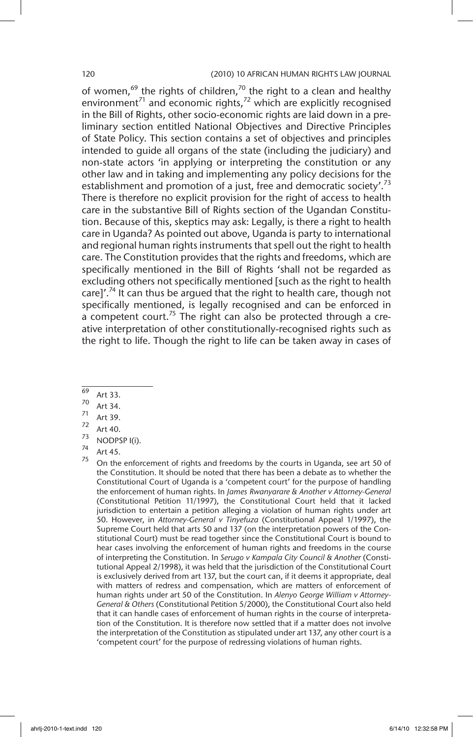### 120 (2010) 10 AFRICAN HUMAN RIGHTS LAW JOURNAL

of women,<sup>69</sup> the rights of children,<sup>70</sup> the right to a clean and healthy environment<sup>71</sup> and economic rights,<sup>72</sup> which are explicitly recognised in the Bill of Rights, other socio-economic rights are laid down in a preliminary section entitled National Objectives and Directive Principles of State Policy. This section contains a set of objectives and principles intended to guide all organs of the state (including the judiciary) and non-state actors 'in applying or interpreting the constitution or any other law and in taking and implementing any policy decisions for the establishment and promotion of a just, free and democratic society'.<sup>73</sup> There is therefore no explicit provision for the right of access to health care in the substantive Bill of Rights section of the Ugandan Constitution. Because of this, skeptics may ask: Legally, is there a right to health care in Uganda? As pointed out above, Uganda is party to international and regional human rights instruments that spell out the right to health care. The Constitution provides that the rights and freedoms, which are specifically mentioned in the Bill of Rights 'shall not be regarded as excluding others not specifically mentioned [such as the right to health care]'.<sup>74</sup> It can thus be argued that the right to health care, though not specifically mentioned, is legally recognised and can be enforced in a competent court.<sup>75</sup> The right can also be protected through a creative interpretation of other constitutionally-recognised rights such as the right to life. Though the right to life can be taken away in cases of

- $\frac{69}{70}$  Art 33.
- $\frac{70}{71}$  Art 34.
- $\frac{71}{72}$  Art 39.
- $\frac{72}{73}$  Art 40.
- $\frac{73}{74}$  NODPSP I(i).
- $\frac{74}{75}$  Art 45.

On the enforcement of rights and freedoms by the courts in Uganda, see art 50 of the Constitution. It should be noted that there has been a debate as to whether the Constitutional Court of Uganda is a 'competent court' for the purpose of handling the enforcement of human rights. In *James Rwanyarare & Another v Attorney-General*  (Constitutional Petition 11/1997), the Constitutional Court held that it lacked jurisdiction to entertain a petition alleging a violation of human rights under art 50. However, in *Attorney-General v Tinyefuza* (Constitutional Appeal 1/1997), the Supreme Court held that arts 50 and 137 (on the interpretation powers of the Constitutional Court) must be read together since the Constitutional Court is bound to hear cases involving the enforcement of human rights and freedoms in the course of interpreting the Constitution. In *Serugo v Kampala City Council & Another* (Constitutional Appeal 2/1998), it was held that the jurisdiction of the Constitutional Court is exclusively derived from art 137, but the court can, if it deems it appropriate, deal with matters of redress and compensation, which are matters of enforcement of human rights under art 50 of the Constitution. In *Alenyo George William v Attorney-General & Others* (Constitutional Petition 5/2000), the Constitutional Court also held that it can handle cases of enforcement of human rights in the course of interpretation of the Constitution. It is therefore now settled that if a matter does not involve the interpretation of the Constitution as stipulated under art 137, any other court is a 'competent court' for the purpose of redressing violations of human rights.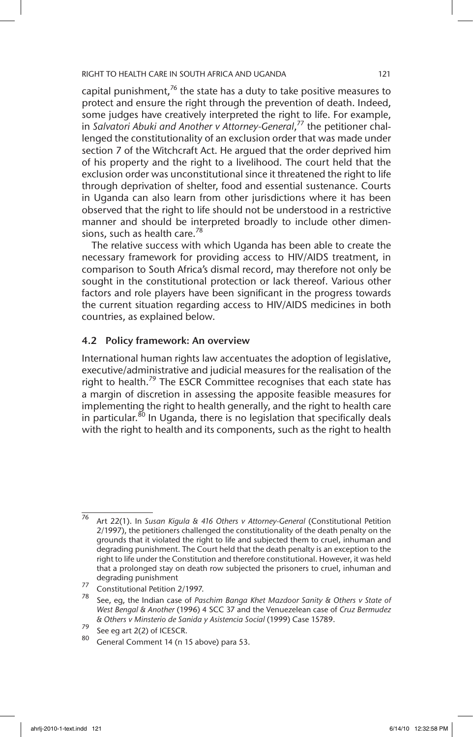capital punishment, $76$  the state has a duty to take positive measures to protect and ensure the right through the prevention of death. Indeed, some judges have creatively interpreted the right to life. For example, in *Salvatori Abuki and Another v Attorney-General*, 77 the petitioner challenged the constitutionality of an exclusion order that was made under section 7 of the Witchcraft Act. He argued that the order deprived him of his property and the right to a livelihood. The court held that the exclusion order was unconstitutional since it threatened the right to life through deprivation of shelter, food and essential sustenance. Courts in Uganda can also learn from other jurisdictions where it has been observed that the right to life should not be understood in a restrictive manner and should be interpreted broadly to include other dimensions, such as health care.<sup>78</sup>

The relative success with which Uganda has been able to create the necessary framework for providing access to HIV/AIDS treatment, in comparison to South Africa's dismal record, may therefore not only be sought in the constitutional protection or lack thereof. Various other factors and role players have been significant in the progress towards the current situation regarding access to HIV/AIDS medicines in both countries, as explained below.

## 4.2 Policy framework: An overview

International human rights law accentuates the adoption of legislative, executive/administrative and judicial measures for the realisation of the right to health.<sup>79</sup> The ESCR Committee recognises that each state has a margin of discretion in assessing the apposite feasible measures for implementing the right to health generally, and the right to health care in particular.<sup>80</sup> In Uganda, there is no legislation that specifically deals with the right to health and its components, such as the right to health

<sup>76</sup> Art 22(1). In *Susan Kigula & 416 Others v Attorney-General* (Constitutional Petition 2/1997), the petitioners challenged the constitutionality of the death penalty on the grounds that it violated the right to life and subjected them to cruel, inhuman and degrading punishment. The Court held that the death penalty is an exception to the right to life under the Constitution and therefore constitutional. However, it was held that a prolonged stay on death row subjected the prisoners to cruel, inhuman and degrading punishment

<sup>77</sup> Constitutional Petition 2/1997.

<sup>78</sup> See, eg, the Indian case of *Paschim Banga Khet Mazdoor Sanity & Others v State of West Bengal & Another* (1996) 4 SCC 37 and the Venuezelean case of *Cruz Bermudez & Others v Minsterio de Sanida y Asistencia Social* (1999) Case 15789.

 $79$  See eg art 2(2) of ICESCR.

General Comment 14 (n 15 above) para 53.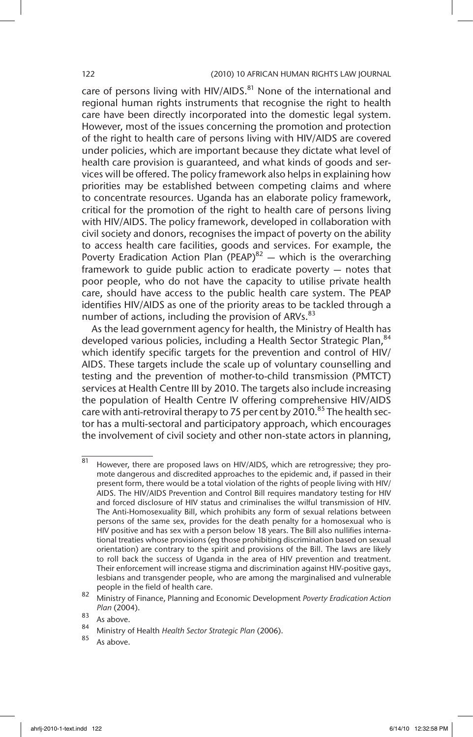care of persons living with HIV/AIDS. $81$  None of the international and regional human rights instruments that recognise the right to health care have been directly incorporated into the domestic legal system. However, most of the issues concerning the promotion and protection of the right to health care of persons living with HIV/AIDS are covered under policies, which are important because they dictate what level of health care provision is guaranteed, and what kinds of goods and services will be offered. The policy framework also helps in explaining how priorities may be established between competing claims and where to concentrate resources. Uganda has an elaborate policy framework, critical for the promotion of the right to health care of persons living with HIV/AIDS. The policy framework, developed in collaboration with civil society and donors, recognises the impact of poverty on the ability to access health care facilities, goods and services. For example, the Poverty Eradication Action Plan (PEAP) $^{82}$  — which is the overarching framework to guide public action to eradicate poverty — notes that poor people, who do not have the capacity to utilise private health care, should have access to the public health care system. The PEAP identifies HIV/AIDS as one of the priority areas to be tackled through a number of actions, including the provision of ARVs.<sup>83</sup>

As the lead government agency for health, the Ministry of Health has developed various policies, including a Health Sector Strategic Plan, 84 which identify specific targets for the prevention and control of HIV/ AIDS. These targets include the scale up of voluntary counselling and testing and the prevention of mother-to-child transmission (PMTCT) services at Health Centre III by 2010. The targets also include increasing the population of Health Centre IV offering comprehensive HIV/AIDS care with anti-retroviral therapy to 75 per cent by 2010.<sup>85</sup> The health sector has a multi-sectoral and participatory approach, which encourages the involvement of civil society and other non-state actors in planning,

 $\overline{81}$  However, there are proposed laws on HIV/AIDS, which are retrogressive; they promote dangerous and discredited approaches to the epidemic and, if passed in their present form, there would be a total violation of the rights of people living with HIV/ AIDS. The HIV/AIDS Prevention and Control Bill requires mandatory testing for HIV and forced disclosure of HIV status and criminalises the wilful transmission of HIV. The Anti-Homosexuality Bill, which prohibits any form of sexual relations between persons of the same sex, provides for the death penalty for a homosexual who is HIV positive and has sex with a person below 18 years. The Bill also nullifies international treaties whose provisions (eg those prohibiting discrimination based on sexual orientation) are contrary to the spirit and provisions of the Bill. The laws are likely to roll back the success of Uganda in the area of HIV prevention and treatment. Their enforcement will increase stigma and discrimination against HIV-positive gays, lesbians and transgender people, who are among the marginalised and vulnerable people in the field of health care.

<sup>82</sup> Ministry of Finance, Planning and Economic Development *Poverty Eradication Action Plan* (2004).

 $\begin{array}{c} 83 \\ 84 \end{array}$  As above.

<sup>84</sup> Ministry of Health *Health Sector Strategic Plan* (2006).

As above.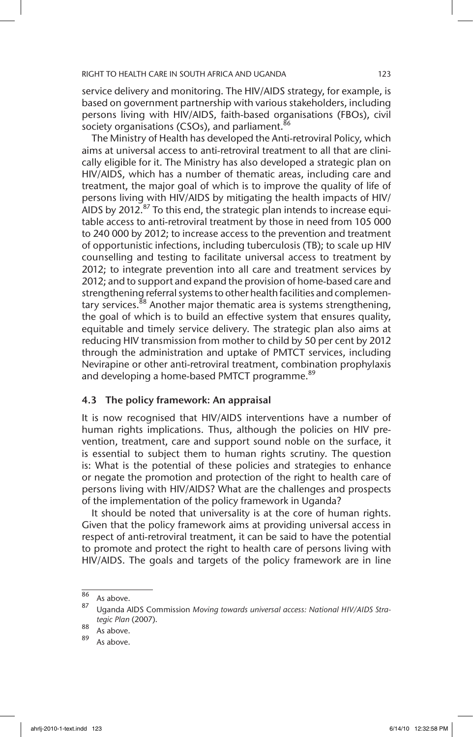service delivery and monitoring. The HIV/AIDS strategy, for example, is based on government partnership with various stakeholders, including persons living with HIV/AIDS, faith-based organisations (FBOs), civil society organisations (CSOs), and parliament.<sup>86</sup>

The Ministry of Health has developed the Anti-retroviral Policy, which aims at universal access to anti-retroviral treatment to all that are clinically eligible for it. The Ministry has also developed a strategic plan on HIV/AIDS, which has a number of thematic areas, including care and treatment, the major goal of which is to improve the quality of life of persons living with HIV/AIDS by mitigating the health impacts of HIV/ AIDS by 2012. $87$  To this end, the strategic plan intends to increase equitable access to anti-retroviral treatment by those in need from 105 000 to 240 000 by 2012; to increase access to the prevention and treatment of opportunistic infections, including tuberculosis (TB); to scale up HIV counselling and testing to facilitate universal access to treatment by 2012; to integrate prevention into all care and treatment services by 2012; and to support and expand the provision of home-based care and strengthening referral systems to other health facilities and complementary services.<sup>88</sup> Another major thematic area is systems strengthening, the goal of which is to build an effective system that ensures quality, equitable and timely service delivery. The strategic plan also aims at reducing HIV transmission from mother to child by 50 per cent by 2012 through the administration and uptake of PMTCT services, including Nevirapine or other anti-retroviral treatment, combination prophylaxis and developing a home-based PMTCT programme.<sup>89</sup>

## 4.3 The policy framework: An appraisal

It is now recognised that HIV/AIDS interventions have a number of human rights implications. Thus, although the policies on HIV prevention, treatment, care and support sound noble on the surface, it is essential to subject them to human rights scrutiny. The question is: What is the potential of these policies and strategies to enhance or negate the promotion and protection of the right to health care of persons living with HIV/AIDS? What are the challenges and prospects of the implementation of the policy framework in Uganda?

It should be noted that universality is at the core of human rights. Given that the policy framework aims at providing universal access in respect of anti-retroviral treatment, it can be said to have the potential to promote and protect the right to health care of persons living with HIV/AIDS. The goals and targets of the policy framework are in line

 $\frac{86}{87}$  As above.

<sup>87</sup> Uganda AIDS Commission *Moving towards universal access: National HIV/AIDS Strategic Plan* (2007).

 $\frac{88}{89}$  As above.

As above.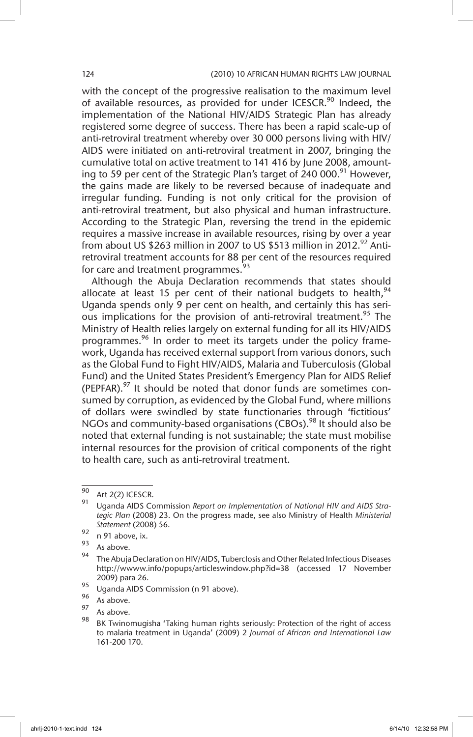with the concept of the progressive realisation to the maximum level of available resources, as provided for under ICESCR.<sup>90</sup> Indeed, the implementation of the National HIV/AIDS Strategic Plan has already registered some degree of success. There has been a rapid scale-up of anti-retroviral treatment whereby over 30 000 persons living with HIV/ AIDS were initiated on anti-retroviral treatment in 2007, bringing the cumulative total on active treatment to 141 416 by June 2008, amounting to 59 per cent of the Strategic Plan's target of 240 000.<sup>91</sup> However, the gains made are likely to be reversed because of inadequate and irregular funding. Funding is not only critical for the provision of anti-retroviral treatment, but also physical and human infrastructure. According to the Strategic Plan, reversing the trend in the epidemic requires a massive increase in available resources, rising by over a year from about US \$263 million in 2007 to US \$513 million in 2012.<sup>92</sup> Antiretroviral treatment accounts for 88 per cent of the resources required for care and treatment programmes.<sup>93</sup>

Although the Abuja Declaration recommends that states should allocate at least 15 per cent of their national budgets to health,  $94$ Uganda spends only 9 per cent on health, and certainly this has serious implications for the provision of anti-retroviral treatment.<sup>95</sup> The Ministry of Health relies largely on external funding for all its HIV/AIDS programmes.<sup>96</sup> In order to meet its targets under the policy framework, Uganda has received external support from various donors, such as the Global Fund to Fight HIV/AIDS, Malaria and Tuberculosis (Global Fund) and the United States President's Emergency Plan for AIDS Relief (PEPFAR). $97$  It should be noted that donor funds are sometimes consumed by corruption, as evidenced by the Global Fund, where millions of dollars were swindled by state functionaries through 'fictitious' NGOs and community-based organisations (CBOs).<sup>98</sup> It should also be noted that external funding is not sustainable; the state must mobilise internal resources for the provision of critical components of the right to health care, such as anti-retroviral treatment.

 $\frac{90}{91}$  Art 2(2) ICESCR.

<sup>91</sup> Uganda AIDS Commission *Report on Implementation of National HIV and AIDS Strategic Plan* (2008) 23. On the progress made, see also Ministry of Health *Ministerial Statement* (2008) 56.

 $\frac{92}{93}$  n 91 above, ix.

 $\frac{93}{94}$  As above.

The Abuja Declaration on HIV/AIDS, Tuberclosis and Other Related Infectious Diseases http://wwww.info/popups/articleswindow.php?id=38 (accessed 17 November 2009) para 26.

<sup>95</sup> Uganda AIDS Commission (n 91 above).

 $\frac{96}{97}$  As above.

 $\frac{97}{98}$  As above.

BK Twinomugisha 'Taking human rights seriously: Protection of the right of access to malaria treatment in Uganda' (2009) 2 *Journal of African and International Law* 161-200 170.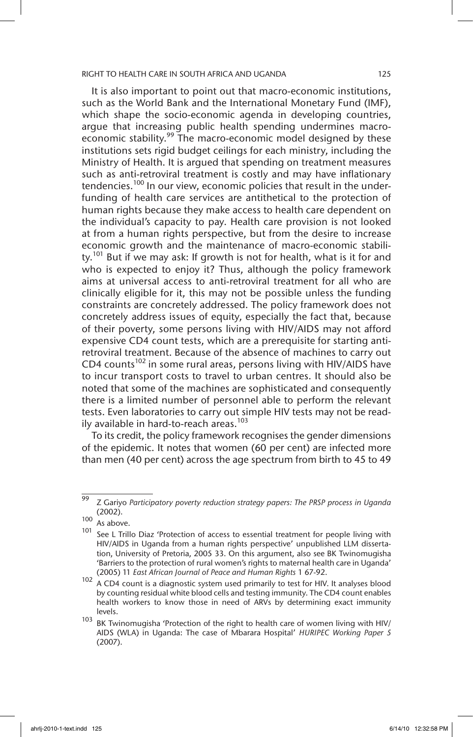It is also important to point out that macro-economic institutions, such as the World Bank and the International Monetary Fund (IMF), which shape the socio-economic agenda in developing countries, argue that increasing public health spending undermines macroeconomic stability.<sup>99</sup> The macro-economic model designed by these institutions sets rigid budget ceilings for each ministry, including the Ministry of Health. It is argued that spending on treatment measures such as anti-retroviral treatment is costly and may have inflationary tendencies.<sup>100</sup> In our view, economic policies that result in the underfunding of health care services are antithetical to the protection of human rights because they make access to health care dependent on the individual's capacity to pay. Health care provision is not looked at from a human rights perspective, but from the desire to increase economic growth and the maintenance of macro-economic stability.<sup>101</sup> But if we may ask: If growth is not for health, what is it for and who is expected to enjoy it? Thus, although the policy framework aims at universal access to anti-retroviral treatment for all who are clinically eligible for it, this may not be possible unless the funding constraints are concretely addressed. The policy framework does not concretely address issues of equity, especially the fact that, because of their poverty, some persons living with HIV/AIDS may not afford expensive CD4 count tests, which are a prerequisite for starting antiretroviral treatment. Because of the absence of machines to carry out CD4 counts<sup>102</sup> in some rural areas, persons living with HIV/AIDS have to incur transport costs to travel to urban centres. It should also be noted that some of the machines are sophisticated and consequently there is a limited number of personnel able to perform the relevant tests. Even laboratories to carry out simple HIV tests may not be readily available in hard-to-reach areas.<sup>103</sup>

To its credit, the policy framework recognises the gender dimensions of the epidemic. It notes that women (60 per cent) are infected more than men (40 per cent) across the age spectrum from birth to 45 to 49

<sup>99</sup> Z Gariyo *Participatory poverty reduction strategy papers: The PRSP process in Uganda* (2002).

 $\frac{100}{101}$  As above.

See L Trillo Diaz 'Protection of access to essential treatment for people living with HIV/AIDS in Uganda from a human rights perspective' unpublished LLM dissertation, University of Pretoria, 2005 33. On this argument, also see BK Twinomugisha 'Barriers to the protection of rural women's rights to maternal health care in Uganda' (2005) 11 *East African Journal of Peace and Human Rights* 1 67-92.

<sup>102</sup> A CD4 count is a diagnostic system used primarily to test for HIV. It analyses blood by counting residual white blood cells and testing immunity. The CD4 count enables health workers to know those in need of ARVs by determining exact immunity levels.

 $103$  BK Twinomugisha 'Protection of the right to health care of women living with HIV/ AIDS (WLA) in Uganda: The case of Mbarara Hospital' *HURIPEC Working Paper 5* (2007).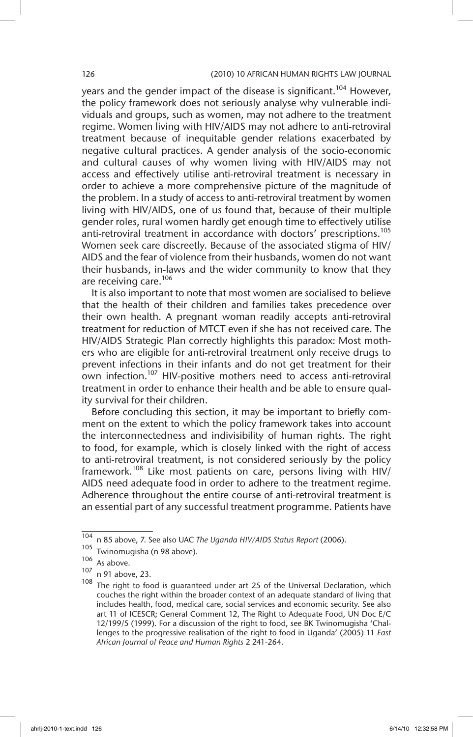years and the gender impact of the disease is significant.<sup>104</sup> However, the policy framework does not seriously analyse why vulnerable individuals and groups, such as women, may not adhere to the treatment regime. Women living with HIV/AIDS may not adhere to anti-retroviral treatment because of inequitable gender relations exacerbated by negative cultural practices. A gender analysis of the socio-economic and cultural causes of why women living with HIV/AIDS may not access and effectively utilise anti-retroviral treatment is necessary in order to achieve a more comprehensive picture of the magnitude of the problem. In a study of access to anti-retroviral treatment by women living with HIV/AIDS, one of us found that, because of their multiple gender roles, rural women hardly get enough time to effectively utilise anti-retroviral treatment in accordance with doctors' prescriptions.<sup>105</sup> Women seek care discreetly. Because of the associated stigma of HIV/ AIDS and the fear of violence from their husbands, women do not want their husbands, in-laws and the wider community to know that they are receiving care.<sup>106</sup>

It is also important to note that most women are socialised to believe that the health of their children and families takes precedence over their own health. A pregnant woman readily accepts anti-retroviral treatment for reduction of MTCT even if she has not received care. The HIV/AIDS Strategic Plan correctly highlights this paradox: Most mothers who are eligible for anti-retroviral treatment only receive drugs to prevent infections in their infants and do not get treatment for their own infection.<sup>107</sup> HIV-positive mothers need to access anti-retroviral treatment in order to enhance their health and be able to ensure quality survival for their children.

Before concluding this section, it may be important to briefly comment on the extent to which the policy framework takes into account the interconnectedness and indivisibility of human rights. The right to food, for example, which is closely linked with the right of access to anti-retroviral treatment, is not considered seriously by the policy framework.<sup>108</sup> Like most patients on care, persons living with HIV/ AIDS need adequate food in order to adhere to the treatment regime. Adherence throughout the entire course of anti-retroviral treatment is an essential part of any successful treatment programme. Patients have

<sup>104</sup> n 85 above, 7. See also UAC *The Uganda HIV/AIDS Status Report* (2006).

<sup>105</sup> Twinomugisha (n 98 above).

 $106$  As above.

<sup>107</sup> n 91 above, 23.

 $108$  The right to food is guaranteed under art 25 of the Universal Declaration, which couches the right within the broader context of an adequate standard of living that includes health, food, medical care, social services and economic security. See also art 11 of ICESCR; General Comment 12, The Right to Adequate Food, UN Doc E/C 12/199/5 (1999). For a discussion of the right to food, see BK Twinomugisha 'Challenges to the progressive realisation of the right to food in Uganda' (2005) 11 *East African Journal of Peace and Human Rights* 2 241-264.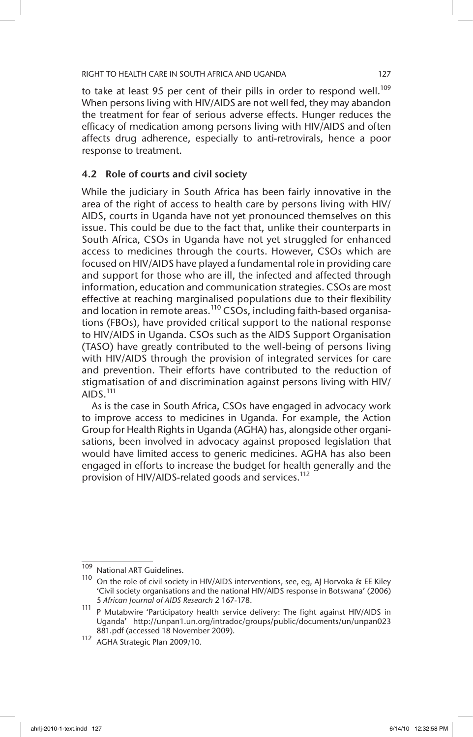to take at least 95 per cent of their pills in order to respond well.<sup>109</sup> When persons living with HIV/AIDS are not well fed, they may abandon the treatment for fear of serious adverse effects. Hunger reduces the efficacy of medication among persons living with HIV/AIDS and often affects drug adherence, especially to anti-retrovirals, hence a poor response to treatment.

# 4.2 Role of courts and civil society

While the judiciary in South Africa has been fairly innovative in the area of the right of access to health care by persons living with HIV/ AIDS, courts in Uganda have not yet pronounced themselves on this issue. This could be due to the fact that, unlike their counterparts in South Africa, CSOs in Uganda have not yet struggled for enhanced access to medicines through the courts. However, CSOs which are focused on HIV/AIDS have played a fundamental role in providing care and support for those who are ill, the infected and affected through information, education and communication strategies. CSOs are most effective at reaching marginalised populations due to their flexibility and location in remote areas.<sup>110</sup> CSOs, including faith-based organisations (FBOs), have provided critical support to the national response to HIV/AIDS in Uganda. CSOs such as the AIDS Support Organisation (TASO) have greatly contributed to the well-being of persons living with HIV/AIDS through the provision of integrated services for care and prevention. Their efforts have contributed to the reduction of stigmatisation of and discrimination against persons living with HIV/ AIDS. $^{111}$ 

As is the case in South Africa, CSOs have engaged in advocacy work to improve access to medicines in Uganda. For example, the Action Group for Health Rights in Uganda (AGHA) has, alongside other organisations, been involved in advocacy against proposed legislation that would have limited access to generic medicines. AGHA has also been engaged in efforts to increase the budget for health generally and the provision of HIV/AIDS-related goods and services.<sup>112</sup>

<sup>109</sup> National ART Guidelines.

<sup>110</sup> On the role of civil society in HIV/AIDS interventions, see, eg, AJ Horvoka & EE Kiley 'Civil society organisations and the national HIV/AIDS response in Botswana' (2006) 5 *African Journal of AIDS Research* 2 167-178.

<sup>111</sup> P Mutabwire 'Participatory health service delivery: The fight against HIV/AIDS in Uganda' http://unpan1.un.org/intradoc/groups/public/documents/un/unpan023 881.pdf (accessed 18 November 2009).

<sup>112</sup> AGHA Strategic Plan 2009/10.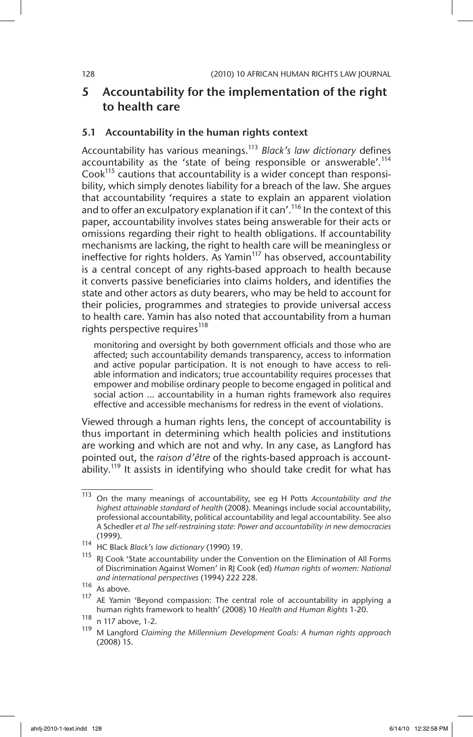# 5 Accountability for the implementation of the right to health care

## 5.1 Accountability in the human rights context

Accountability has various meanings.<sup>113</sup> *Black's law dictionary* defines accountability as the 'state of being responsible or answerable'.<sup>114</sup> Cook $^{115}$  cautions that accountability is a wider concept than responsibility, which simply denotes liability for a breach of the law. She argues that accountability 'requires a state to explain an apparent violation and to offer an exculpatory explanation if it can'.<sup>116</sup> In the context of this paper, accountability involves states being answerable for their acts or omissions regarding their right to health obligations. If accountability mechanisms are lacking, the right to health care will be meaningless or ineffective for rights holders. As Yamin<sup>117</sup> has observed, accountability is a central concept of any rights-based approach to health because it converts passive beneficiaries into claims holders, and identifies the state and other actors as duty bearers, who may be held to account for their policies, programmes and strategies to provide universal access to health care. Yamin has also noted that accountability from a human rights perspective requires<sup>118</sup>

monitoring and oversight by both government officials and those who are affected; such accountability demands transparency, access to information and active popular participation. It is not enough to have access to reliable information and indicators; true accountability requires processes that empower and mobilise ordinary people to become engaged in political and social action … accountability in a human rights framework also requires effective and accessible mechanisms for redress in the event of violations.

Viewed through a human rights lens, the concept of accountability is thus important in determining which health policies and institutions are working and which are not and why. In any case, as Langford has pointed out, the *raison d'être* of the rights-based approach is accountability.<sup>119</sup> It assists in identifying who should take credit for what has

<sup>113</sup> On the many meanings of accountability, see eg H Potts *Accountability and the highest attainable standard of health* (2008). Meanings include social accountability, professional accountability, political accountability and legal accountability. See also A Schedler *et al The self-restraining state: Power and accountability in new democracies*  (1999).

<sup>114</sup> HC Black *Black's law dictionary* (1990) 19.

<sup>&</sup>lt;sup>115</sup> RJ Cook 'State accountability under the Convention on the Elimination of All Forms of Discrimination Against Women' in RJ Cook (ed) *Human rights of women: National and international perspectives* (1994) 222 228.

 $\frac{116}{117}$  As above.

AE Yamin 'Beyond compassion: The central role of accountability in applying a human rights framework to health' (2008) 10 *Health and Human Rights* 1-20.

 $\frac{118}{119}$  n 117 above, 1-2.

<sup>119</sup> M Langford *Claiming the Millennium Development Goals: A human rights approach* (2008) 15.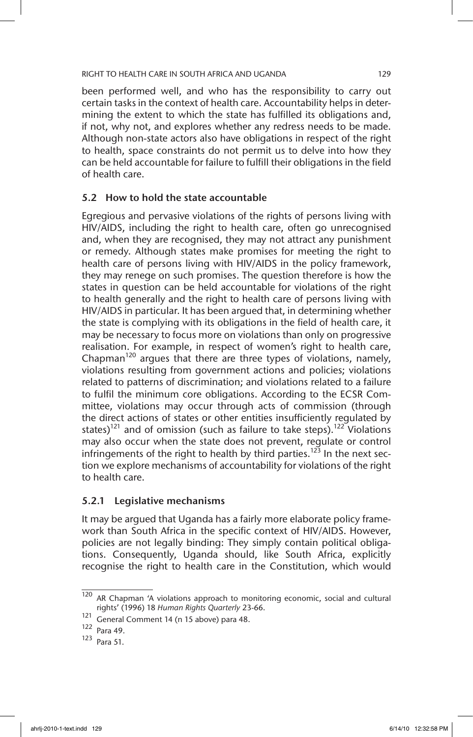been performed well, and who has the responsibility to carry out certain tasks in the context of health care. Accountability helps in determining the extent to which the state has fulfilled its obligations and, if not, why not, and explores whether any redress needs to be made. Although non-state actors also have obligations in respect of the right to health, space constraints do not permit us to delve into how they can be held accountable for failure to fulfill their obligations in the field of health care.

## 5.2 How to hold the state accountable

Egregious and pervasive violations of the rights of persons living with HIV/AIDS, including the right to health care, often go unrecognised and, when they are recognised, they may not attract any punishment or remedy. Although states make promises for meeting the right to health care of persons living with HIV/AIDS in the policy framework, they may renege on such promises. The question therefore is how the states in question can be held accountable for violations of the right to health generally and the right to health care of persons living with HIV/AIDS in particular. It has been argued that, in determining whether the state is complying with its obligations in the field of health care, it may be necessary to focus more on violations than only on progressive realisation. For example, in respect of women's right to health care, Chapman<sup>120</sup> argues that there are three types of violations, namely, violations resulting from government actions and policies; violations related to patterns of discrimination; and violations related to a failure to fulfil the minimum core obligations. According to the ECSR Committee, violations may occur through acts of commission (through the direct actions of states or other entities insufficiently regulated by states)<sup>121</sup> and of omission (such as failure to take steps).<sup>122</sup> Violations may also occur when the state does not prevent, regulate or control infringements of the right to health by third parties.<sup>123</sup> In the next section we explore mechanisms of accountability for violations of the right to health care.

# 5.2.1 Legislative mechanisms

It may be argued that Uganda has a fairly more elaborate policy framework than South Africa in the specific context of HIV/AIDS. However, policies are not legally binding: They simply contain political obligations. Consequently, Uganda should, like South Africa, explicitly recognise the right to health care in the Constitution, which would

 $120$  AR Chapman 'A violations approach to monitoring economic, social and cultural rights' (1996) 18 *Human Rights Quarterly* 23-66.

<sup>121</sup> General Comment 14 (n 15 above) para 48.

<sup>122</sup> Para 49.

<sup>123</sup> Para 51.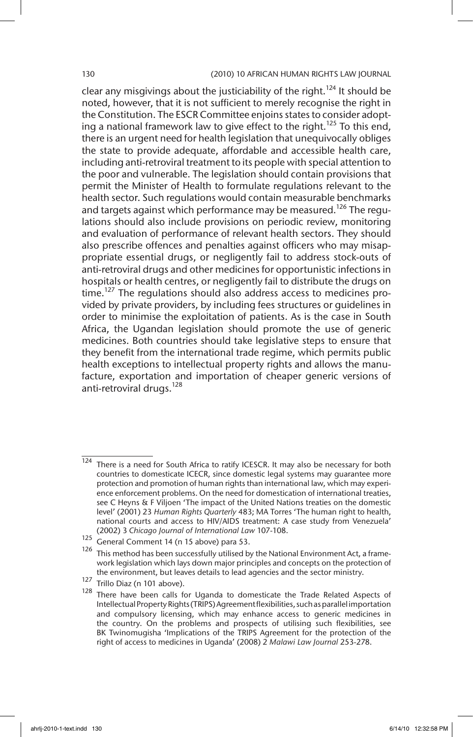clear any misgivings about the justiciability of the right.<sup>124</sup> It should be noted, however, that it is not sufficient to merely recognise the right in the Constitution. The ESCR Committee enjoins states to consider adopting a national framework law to give effect to the right.<sup>125</sup> To this end, there is an urgent need for health legislation that unequivocally obliges the state to provide adequate, affordable and accessible health care, including anti-retroviral treatment to its people with special attention to the poor and vulnerable. The legislation should contain provisions that permit the Minister of Health to formulate regulations relevant to the health sector. Such regulations would contain measurable benchmarks and targets against which performance may be measured.<sup>126</sup> The regulations should also include provisions on periodic review, monitoring and evaluation of performance of relevant health sectors. They should also prescribe offences and penalties against officers who may misappropriate essential drugs, or negligently fail to address stock-outs of anti-retroviral drugs and other medicines for opportunistic infections in hospitals or health centres, or negligently fail to distribute the drugs on time.<sup>127</sup> The regulations should also address access to medicines provided by private providers, by including fees structures or guidelines in order to minimise the exploitation of patients. As is the case in South Africa, the Ugandan legislation should promote the use of generic medicines. Both countries should take legislative steps to ensure that they benefit from the international trade regime, which permits public health exceptions to intellectual property rights and allows the manufacture, exportation and importation of cheaper generic versions of anti-retroviral drugs.<sup>128</sup>

<sup>127</sup> Trillo Diaz (n 101 above).

 $124$  There is a need for South Africa to ratify ICESCR. It may also be necessary for both countries to domesticate ICECR, since domestic legal systems may guarantee more protection and promotion of human rights than international law, which may experience enforcement problems. On the need for domestication of international treaties, see C Heyns & F Viljoen 'The impact of the United Nations treaties on the domestic level' (2001) 23 *Human Rights Quarterly* 483; MA Torres 'The human right to health, national courts and access to HIV/AIDS treatment: A case study from Venezuela' (2002) 3 *Chicago Journal of International Law* 107-108.

 $125$  General Comment 14 (n 15 above) para 53.

 $126$  This method has been successfully utilised by the National Environment Act, a framework legislation which lays down major principles and concepts on the protection of the environment, but leaves details to lead agencies and the sector ministry.

There have been calls for Uganda to domesticate the Trade Related Aspects of Intellectual Property Rights (TRIPS) Agreement flexibilities, such as parallel importation and compulsory licensing, which may enhance access to generic medicines in the country. On the problems and prospects of utilising such flexibilities, see BK Twinomugisha 'Implications of the TRIPS Agreement for the protection of the right of access to medicines in Uganda' (2008) 2 *Malawi Law Journal* 253-278.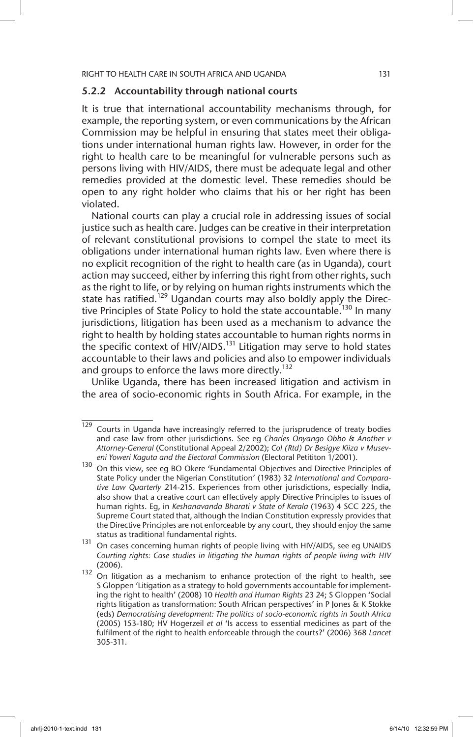## 5.2.2 Accountability through national courts

It is true that international accountability mechanisms through, for example, the reporting system, or even communications by the African Commission may be helpful in ensuring that states meet their obligations under international human rights law. However, in order for the right to health care to be meaningful for vulnerable persons such as persons living with HIV/AIDS, there must be adequate legal and other remedies provided at the domestic level. These remedies should be open to any right holder who claims that his or her right has been violated.

National courts can play a crucial role in addressing issues of social justice such as health care. Judges can be creative in their interpretation of relevant constitutional provisions to compel the state to meet its obligations under international human rights law. Even where there is no explicit recognition of the right to health care (as in Uganda), court action may succeed, either by inferring this right from other rights, such as the right to life, or by relying on human rights instruments which the state has ratified.<sup>129</sup> Ugandan courts may also boldly apply the Directive Principles of State Policy to hold the state accountable.<sup>130</sup> In many jurisdictions, litigation has been used as a mechanism to advance the right to health by holding states accountable to human rights norms in the specific context of HIV/AIDS.<sup>131</sup> Litigation may serve to hold states accountable to their laws and policies and also to empower individuals and groups to enforce the laws more directly.<sup>132</sup>

Unlike Uganda, there has been increased litigation and activism in the area of socio-economic rights in South Africa. For example, in the

<sup>129</sup> Courts in Uganda have increasingly referred to the jurisprudence of treaty bodies and case law from other jurisdictions. See eg *Charles Onyango Obbo & Another v Attorney-General* (Constitutional Appeal 2/2002); *Col (Rtd) Dr Besigye Kiiza v Museveni Yoweri Kaguta and the Electoral Commission* (Electoral Petititon 1/2001).

<sup>130</sup> On this view, see eg BO Okere 'Fundamental Objectives and Directive Principles of State Policy under the Nigerian Constitution' (1983) 32 *International and Comparative Law Quarterly* 214-215. Experiences from other jurisdictions, especially India, also show that a creative court can effectively apply Directive Principles to issues of human rights. Eg, in *Keshanavanda Bharati v State of Kerala* (1963) 4 SCC 225, the Supreme Court stated that, although the Indian Constitution expressly provides that the Directive Principles are not enforceable by any court, they should enjoy the same status as traditional fundamental rights.

<sup>131</sup> On cases concerning human rights of people living with HIV/AIDS, see eg UNAIDS *Courting rights: Case studies in litigating the human rights of people living with HIV*  (2006).

 $132$  On litigation as a mechanism to enhance protection of the right to health, see S Gloppen 'Litigation as a strategy to hold governments accountable for implementing the right to health' (2008) 10 *Health and Human Rights* 23 24; S Gloppen 'Social rights litigation as transformation: South African perspectives' in P Jones & K Stokke (eds) *Democratising development: The politics of socio-economic rights in South Africa*  (2005) 153-180; HV Hogerzeil *et al* 'Is access to essential medicines as part of the fulfilment of the right to health enforceable through the courts?' (2006) 368 *Lancet*  305-311.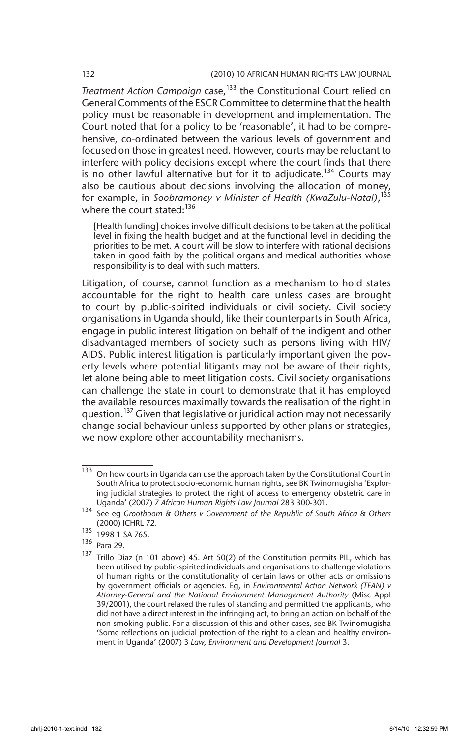**Treatment Action Campaign case, <sup>133</sup> the Constitutional Court relied on** General Comments of the ESCR Committee to determine that the health policy must be reasonable in development and implementation. The Court noted that for a policy to be 'reasonable', it had to be comprehensive, co-ordinated between the various levels of government and focused on those in greatest need. However, courts may be reluctant to interfere with policy decisions except where the court finds that there is no other lawful alternative but for it to adjudicate.<sup>134</sup> Courts may also be cautious about decisions involving the allocation of money, for example, in *Soobramoney v Minister of Health (KwaZulu-Natal)*, 135 where the court stated:<sup>136</sup>

[Health funding] choices involve difficult decisions to be taken at the political level in fixing the health budget and at the functional level in deciding the priorities to be met. A court will be slow to interfere with rational decisions taken in good faith by the political organs and medical authorities whose responsibility is to deal with such matters.

Litigation, of course, cannot function as a mechanism to hold states accountable for the right to health care unless cases are brought to court by public-spirited individuals or civil society. Civil society organisations in Uganda should, like their counterparts in South Africa, engage in public interest litigation on behalf of the indigent and other disadvantaged members of society such as persons living with HIV/ AIDS. Public interest litigation is particularly important given the poverty levels where potential litigants may not be aware of their rights, let alone being able to meet litigation costs. Civil society organisations can challenge the state in court to demonstrate that it has employed the available resources maximally towards the realisation of the right in question.<sup>137</sup> Given that legislative or juridical action may not necessarily change social behaviour unless supported by other plans or strategies, we now explore other accountability mechanisms.

 $\frac{133}{133}$  On how courts in Uganda can use the approach taken by the Constitutional Court in South Africa to protect socio-economic human rights, see BK Twinomugisha 'Exploring judicial strategies to protect the right of access to emergency obstetric care in Uganda' (2007) 7 *African Human Rights Law Journal* 283 300-301.

<sup>134</sup> See eg *Grootboom & Others v Government of the Republic of South Africa & Others* (2000) ICHRL 72.

<sup>135</sup> 1998 1 SA 765.

<sup>136</sup> Para 29.

 $137$  Trillo Diaz (n 101 above) 45. Art 50(2) of the Constitution permits PIL, which has been utilised by public-spirited individuals and organisations to challenge violations of human rights or the constitutionality of certain laws or other acts or omissions by government officials or agencies. Eg, in *Environmental Action Network (TEAN) v Attorney-General and the National Environment Management Authority* (Misc Appl 39/2001), the court relaxed the rules of standing and permitted the applicants, who did not have a direct interest in the infringing act, to bring an action on behalf of the non-smoking public. For a discussion of this and other cases, see BK Twinomugisha 'Some reflections on judicial protection of the right to a clean and healthy environment in Uganda' (2007) 3 *Law, Environment and Development Journal* 3.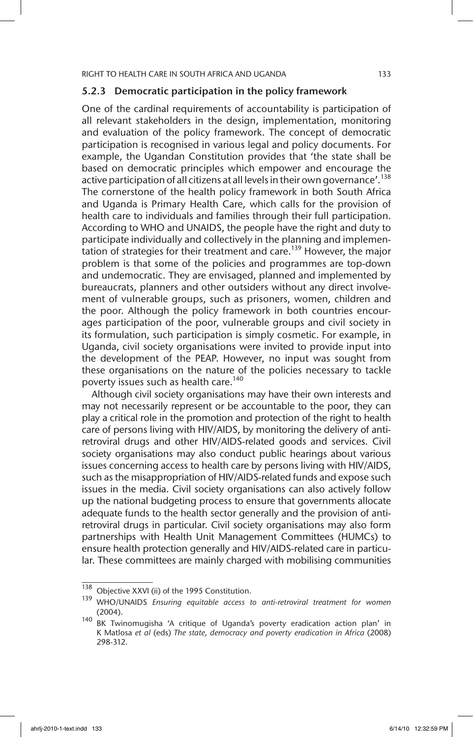## 5.2.3 Democratic participation in the policy framework

One of the cardinal requirements of accountability is participation of all relevant stakeholders in the design, implementation, monitoring and evaluation of the policy framework. The concept of democratic participation is recognised in various legal and policy documents. For example, the Ugandan Constitution provides that 'the state shall be based on democratic principles which empower and encourage the active participation of all citizens at all levels in their own governance'.<sup>138</sup> The cornerstone of the health policy framework in both South Africa and Uganda is Primary Health Care, which calls for the provision of health care to individuals and families through their full participation. According to WHO and UNAIDS, the people have the right and duty to participate individually and collectively in the planning and implementation of strategies for their treatment and care.<sup>139</sup> However, the major problem is that some of the policies and programmes are top-down and undemocratic. They are envisaged, planned and implemented by bureaucrats, planners and other outsiders without any direct involvement of vulnerable groups, such as prisoners, women, children and the poor. Although the policy framework in both countries encourages participation of the poor, vulnerable groups and civil society in its formulation, such participation is simply cosmetic. For example, in Uganda, civil society organisations were invited to provide input into the development of the PEAP. However, no input was sought from these organisations on the nature of the policies necessary to tackle poverty issues such as health care.<sup>140</sup>

Although civil society organisations may have their own interests and may not necessarily represent or be accountable to the poor, they can play a critical role in the promotion and protection of the right to health care of persons living with HIV/AIDS, by monitoring the delivery of antiretroviral drugs and other HIV/AIDS-related goods and services. Civil society organisations may also conduct public hearings about various issues concerning access to health care by persons living with HIV/AIDS, such as the misappropriation of HIV/AIDS-related funds and expose such issues in the media. Civil society organisations can also actively follow up the national budgeting process to ensure that governments allocate adequate funds to the health sector generally and the provision of antiretroviral drugs in particular. Civil society organisations may also form partnerships with Health Unit Management Committees (HUMCs) to ensure health protection generally and HIV/AIDS-related care in particular. These committees are mainly charged with mobilising communities

<sup>138</sup> Objective XXVI (ii) of the 1995 Constitution.

<sup>139</sup> WHO/UNAIDS *Ensuring equitable access to anti-retroviral treatment for women* (2004).

<sup>140</sup> BK Twinomugisha 'A critique of Uganda's poverty eradication action plan' in K Matlosa *et al* (eds) *The state, democracy and poverty eradication in Africa* (2008) 298-312.